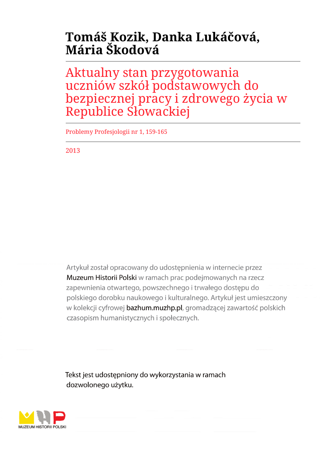# **Tomáš Kozik, Danka Lukáčová, Mária Škodová**

Aktualny stan przygotowania uczniów szkół podstawowych do bezpiecznej pracy i zdrowego życia w Republice Słowackiej

Problemy Profesjologii nr 1, 159-165

2013

Artykuł został opracowany do udostępnienia w internecie przez Muzeum Historii Polski w ramach prac podejmowanych na rzecz zapewnienia otwartego, powszechnego i trwałego dostępu do polskiego dorobku naukowego i kulturalnego. Artykuł jest umieszczony w kolekcji cyfrowej bazhum.muzhp.pl, gromadzącej zawartość polskich czasopism humanistycznych i społecznych.

Tekst jest udostępniony do wykorzystania w ramach dozwolonego użytku.

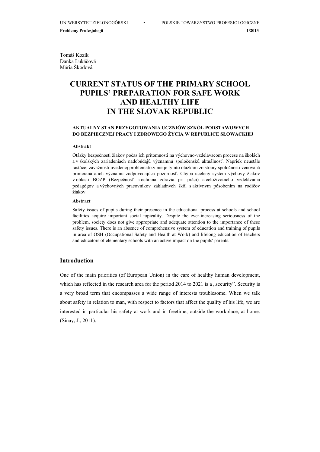**Problemy Profesjologii 1/2013**

Tomáš Kozík Danka Lukáčová Mária Škodová

# **CURRENT STATUS OF THE PRIMARY SCHOOL PUPILS' PREPARATION FOR SAFE WORK AND HEALTHY LIFE IN THE SLOVAK REPUBLIC**

# **AKTUALNY STAN PRZYGOTOWANIA UCZNIÓW SZKÓŁ PODSTAWOWYCH DO BEZPIECZNEJ PRACY I ZDROWEGO ŻYCIA W REPUBLICE SŁOWACKIEJ**

### **Abstrakt**

Otázky bezpečnosti žiakov počas ich prítomnosti na výchovno-vzdelávacom procese na školách a v školských zariadeniach nadobúdajú významnú spoločenskú aktuálnosť. Napriek neustále rastúcej závažnosti uvedenej problematiky nie je týmto otázkam zo strany spoločnosti venovaná primeraná a ich významu zodpovedajúca pozornosť. Chýba ucelený systém výchovy žiakov v oblasti BOZP (Bezpečnosť a ochrana zdravia pri práci) a celoživotného vzdelávania pedagógov a výchovných pracovníkov základných škôl s aktívnym pôsobením na rodičov žiakov.

#### **Abstract**

Safety issues of pupils during their presence in the educational process at schools and school facilities acquire important social topicality. Despite the ever-increasing seriousness of the problem, society does not give appropriate and adequate attention to the importance of these safety issues. There is an absence of comprehensive system of education and training of pupils in area of OSH (Occupational Safety and Health at Work) and lifelong education of teachers and educators of elementary schools with an active impact on the pupils' parents.

## **Introduction**

One of the main priorities (of European Union) in the care of healthy human development, which has reflected in the research area for the period  $2014$  to  $2021$  is a "security". Security is a very broad term that encompasses a wide range of interests troublesome. When we talk about safety in relation to man, with respect to factors that affect the quality of his life, we are interested in particular his safety at work and in freetime, outside the workplace, at home. (Sinay, J., 2011).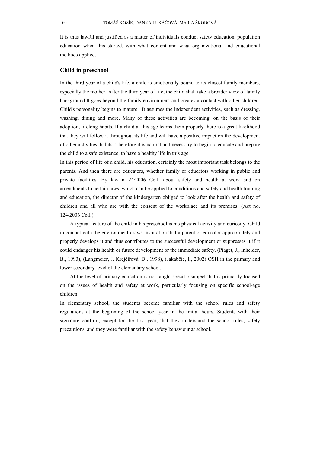It is thus lawful and justified as a matter of individuals conduct safety education, population education when this started, with what content and what organizational and educational methods applied.

### **Child in preschool**

In the third year of a child's life, a child is emotionally bound to its closest family members, especially the mother. After the third year of life, the child shall take a broader view of family background.It goes beyond the family environment and creates a contact with other children. Child's personality begins to mature. It assumes the independent activities, such as dressing, washing, dining and more. Many of these activities are becoming, on the basis of their adoption, lifelong habits. If a child at this age learns them properly there is a great likelihood that they will follow it throughout its life and will have a positive impact on the development of other activities, habits. Therefore it is natural and necessary to begin to educate and prepare the child to a safe existence, to have a healthy life in this age.

In this period of life of a child, his education, certainly the most important task belongs to the parents. And then there are educators, whether family or educators working in public and private facilities. By law n.124/2006 Coll. about safety and health at work and on amendments to certain laws, which can be applied to conditions and safety and health training and education, the director of the kindergarten obliged to look after the health and safety of children and all who are with the consent of the workplace and its premises. (Act no. 124/2006 Coll.).

A typical feature of the child in his preschool is his physical activity and curiosity. Child in contact with the environment draws inspiration that a parent or educator appropriately and properly develops it and thus contributes to the successful development or suppresses it if it could endanger his health or future development or the immediate safety. (Piaget, J., Inhelder, B., 1993), (Langmeier, J. Krejčířová, D., 1998), (Jakabčic, I., 2002) OSH in the primary and lower secondary level of the elementary school.

At the level of primary education is not taught specific subject that is primarily focused on the issues of health and safety at work, particularly focusing on specific school-age children.

In elementary school, the students become familiar with the school rules and safety regulations at the beginning of the school year in the initial hours. Students with their signature confirm, except for the first year, that they understand the school rules, safety precautions, and they were familiar with the safety behaviour at school.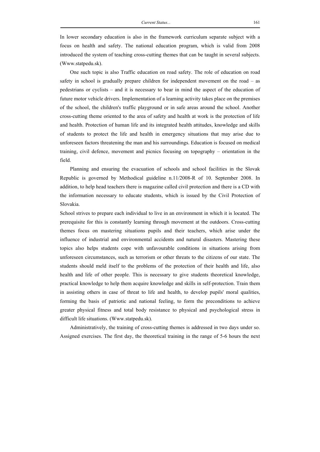In lower secondary education is also in the framework curriculum separate subject with a focus on health and safety. The national education program, which is valid from 2008 introduced the system of teaching cross-cutting themes that can be taught in several subjects. (Www.statpedu.sk).

One such topic is also Traffic education on road safety. The role of education on road safety in school is gradually prepare children for independent movement on the road – as pedestrians or cyclists – and it is necessary to bear in mind the aspect of the education of future motor vehicle drivers. Implementation of a learning activity takes place on the premises of the school, the children's traffic playground or in safe areas around the school. Another cross-cutting theme oriented to the area of safety and health at work is the protection of life and health. Protection of human life and its integrated health attitudes, knowledge and skills of students to protect the life and health in emergency situations that may arise due to unforeseen factors threatening the man and his surroundings. Education is focused on medical training, civil defence, movement and picnics focusing on topography – orientation in the field.

Planning and ensuring the evacuation of schools and school facilities in the Slovak Republic is governed by Methodical guideline n.11/2008-R of 10. September 2008. In addition, to help head teachers there is magazine called civil protection and there is a CD with the information necessary to educate students, which is issued by the Civil Protection of Slovakia.

School strives to prepare each individual to live in an environment in which it is located. The prerequisite for this is constantly learning through movement at the outdoors. Cross-cutting themes focus on mastering situations pupils and their teachers, which arise under the influence of industrial and environmental accidents and natural disasters. Mastering these topics also helps students cope with unfavourable conditions in situations arising from unforeseen circumstances, such as terrorism or other threats to the citizens of our state. The students should meld itself to the problems of the protection of their health and life, also health and life of other people. This is necessary to give students theoretical knowledge, practical knowledge to help them acquire knowledge and skills in self-protection. Train them in assisting others in case of threat to life and health, to develop pupils' moral qualities, forming the basis of patriotic and national feeling, to form the preconditions to achieve greater physical fitness and total body resistance to physical and psychological stress in difficult life situations. (Www.statpedu.sk).

Administratively, the training of cross-cutting themes is addressed in two days under so. Assigned exercises. The first day, the theoretical training in the range of 5-6 hours the next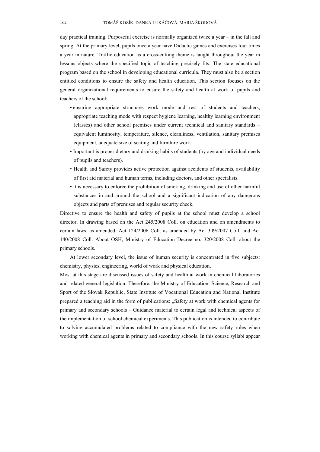day practical training. Purposeful exercise is normally organized twice a year – in the fall and spring. At the primary level, pupils once a year have Didactic games and exercises four times a year in nature. Traffic education as a cross-cutting theme is taught throughout the year in lessons objects where the specified topic of teaching precisely fits. The state educational program based on the school in developing educational curricula. They must also be a section entitled conditions to ensure the safety and health education. This section focuses on the general organizational requirements to ensure the safety and health at work of pupils and teachers of the school:

- ensuring appropriate structures work mode and rest of students and teachers, appropriate teaching mode with respect hygiene learning, healthy learning environment (classes) and other school premises under current technical and sanitary standards – equivalent luminosity, temperature, silence, cleanliness, ventilation, sanitary premises equipment, adequate size of seating and furniture work.
- Important is proper dietary and drinking habits of students (by age and individual needs of pupils and teachers).
- Health and Safety provides active protection against accidents of students, availability of first aid material and human terms, including doctors, and other specialists.
- it is necessary to enforce the prohibition of smoking, drinking and use of other harmful substances in and around the school and a significant indication of any dangerous objects and parts of premises and regular security check.

Directive to ensure the health and safety of pupils at the school must develop a school director. In drawing based on the Act 245/2008 Coll. on education and on amendments to certain laws, as amended, Act 124/2006 Coll. as amended by Act 309/2007 Coll. and Act 140/2008 Coll. About OSH, Ministry of Education Decree no. 320/2008 Coll. about the primary schools.

At lower secondary level, the issue of human security is concentrated in five subjects: chemistry, physics, engineering, world of work and physical education.

Most at this stage are discussed issues of safety and health at work in chemical laboratories and related general legislation. Therefore, the Ministry of Education, Science, Research and Sport of the Slovak Republic, State Institute of Vocational Education and National Institute prepared a teaching aid in the form of publications: "Safety at work with chemical agents for primary and secondary schools – Guidance material to certain legal and technical aspects of the implementation of school chemical experiments. This publication is intended to contribute to solving accumulated problems related to compliance with the new safety rules when working with chemical agents in primary and secondary schools. In this course syllabi appear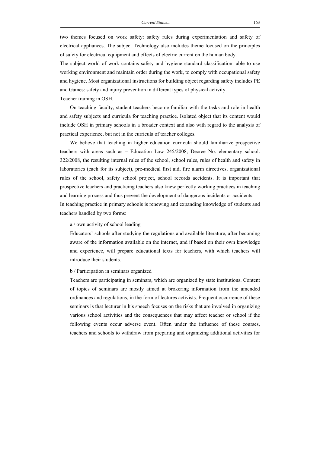two themes focused on work safety: safety rules during experimentation and safety of electrical appliances. The subject Technology also includes theme focused on the principles of safety for electrical equipment and effects of electric current on the human body.

The subject world of work contains safety and hygiene standard classification: able to use working environment and maintain order during the work, to comply with occupational safety and hygiene. Most organizational instructions for building object regarding safety includes PE and Games: safety and injury prevention in different types of physical activity.

Teacher training in OSH.

On teaching faculty, student teachers become familiar with the tasks and role in health and safety subjects and curricula for teaching practice. Isolated object that its content would include OSH in primary schools in a broader context and also with regard to the analysis of practical experience, but not in the curricula of teacher colleges.

We believe that teaching in higher education curricula should familiarize prospective teachers with areas such as – Education Law 245/2008, Decree No. elementary school. 322/2008, the resulting internal rules of the school, school rules, rules of health and safety in laboratories (each for its subject), pre-medical first aid, fire alarm directives, organizational rules of the school, safety school project, school records accidents. It is important that prospective teachers and practicing teachers also knew perfectly working practices in teaching and learning process and thus prevent the development of dangerous incidents or accidents. In teaching practice in primary schools is renewing and expanding knowledge of students and teachers handled by two forms:

#### a / own activity of school leading

Educators' schools after studying the regulations and available literature, after becoming aware of the information available on the internet, and if based on their own knowledge and experience, will prepare educational texts for teachers, with which teachers will introduce their students.

#### b / Participation in seminars organized

Teachers are participating in seminars, which are organized by state institutions. Content of topics of seminars are mostly aimed at brokering information from the amended ordinances and regulations, in the form of lectures activists. Frequent occurrence of these seminars is that lecturer in his speech focuses on the risks that are involved in organizing various school activities and the consequences that may affect teacher or school if the following events occur adverse event. Often under the influence of these courses, teachers and schools to withdraw from preparing and organizing additional activities for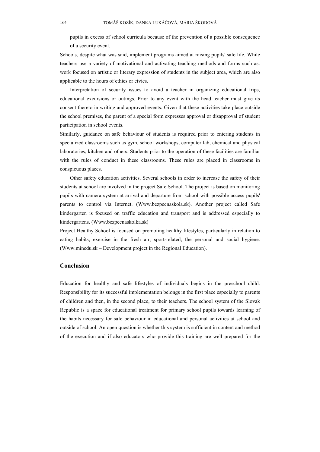pupils in excess of school curricula because of the prevention of a possible consequence of a security event.

Schools, despite what was said, implement programs aimed at raising pupils' safe life. While teachers use a variety of motivational and activating teaching methods and forms such as: work focused on artistic or literary expression of students in the subject area, which are also applicable to the hours of ethics or civics.

Interpretation of security issues to avoid a teacher in organizing educational trips, educational excursions or outings. Prior to any event with the head teacher must give its consent thereto in writing and approved events. Given that these activities take place outside the school premises, the parent of a special form expresses approval or disapproval of student participation in school events.

Similarly, guidance on safe behaviour of students is required prior to entering students in specialized classrooms such as gym, school workshops, computer lab, chemical and physical laboratories, kitchen and others. Students prior to the operation of these facilities are familiar with the rules of conduct in these classrooms. These rules are placed in classrooms in conspicuous places.

Other safety education activities. Several schools in order to increase the safety of their students at school are involved in the project Safe School. The project is based on monitoring pupils with camera system at arrival and departure from school with possible access pupils' parents to control via Internet. (Www.bezpecnaskola.sk). Another project called Safe kindergarten is focused on traffic education and transport and is addressed especially to kindergartens. (Www.bezpecnaskolka.sk)

Project Healthy School is focused on promoting healthy lifestyles, particularly in relation to eating habits, exercise in the fresh air, sport-related, the personal and social hygiene. (Www.minedu.sk – Development project in the Regional Education).

# **Conclusion**

Education for healthy and safe lifestyles of individuals begins in the preschool child. Responsibility for its successful implementation belongs in the first place especially to parents of children and then, in the second place, to their teachers. The school system of the Slovak Republic is a space for educational treatment for primary school pupils towards learning of the habits necessary for safe behaviour in educational and personal activities at school and outside of school. An open question is whether this system is sufficient in content and method of the execution and if also educators who provide this training are well prepared for the